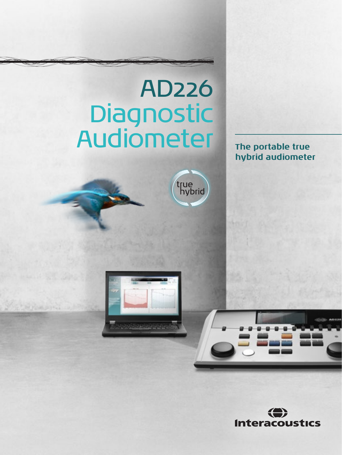# AD226 Diagnostic Audiometer **The portable true**

true<br>hybrid

**hybrid audiometer**





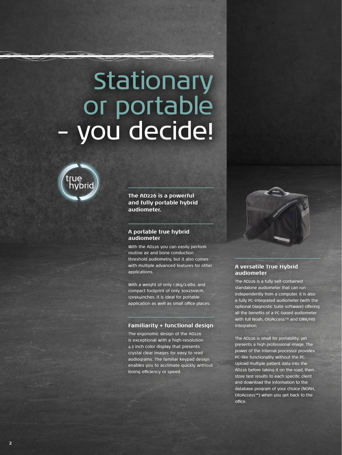# Stationary or portable – you decide!



**The AD226 is a powerful and fully portable hybrid audiometer.** 

#### **A portable true hybrid audiometer**

With the AD226 you can easily perform routine air and bone conduction threshold audiometry, but it also comes with multiple advanced features for other applications.

With a weight of only 1.3kg/2.9lbs. and compact footprint of only 30x23x9cm, 12x9x4inches. it is ideal for portable application as well as small office places.

## **Familiarity + functional design**

The ergonomic design of the AD226 is exceptional with a high-resolution 4.3 inch color display that presents crystal clear images for easy to read audiograms. The familiar keypad design enables you to acclimate quickly without losing efficiency or speed.



## **A versatile True Hybrid audiometer**

The AD226 is a fully self-contained standalone audiometer that can run independently from a computer. It is also a fully PC-integrated audiometer (with the optional Diagnostic Suite software) offering all the benefits of a PC-based audiometer with full Noah, OtoAccess™ and EMR/HIS integration.

The AD226 is small for portability, yet presents a high professional image. The power of the internal processor provides PC-like functionality without the PC. Upload multiple patient data into the AD226 before taking it on the road, then store test results to each specific client and download the information to the database program of your choice (NOAH, OtoAccess™) when you get back to the office.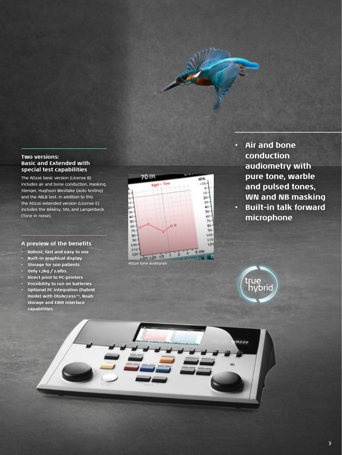

## **Two versions: Basic and Extended with special test capabilities**

The AD226 basic version (License B) includes air and bone conduction, masking, Stenger, Hughson Westlake (auto testing) and the ABLB test. In addition to this the AD226 extended version (License E) includes the Békésy, SISI, and Langenbeck (Tone in noise).

## **A preview of the benefits**

- **• Robust, fast and easy to use**
- **• Built-in graphical display**
- **• Storage for 500 patients**
- **• Only 1.3kg / 2.9lbs.**

**capabilities**

- **• Direct print to PC-printers**
- **• Possibility to run on batteries • Optional PC integration (hybrid mode) with OtoAccess**™**, Noah storage and EMR interface**



**• Air and bone conduction audiometry with pure tone, warble and pulsed tones, WN and NB masking • Built-in talk forward microphone** 



0226

43.

**3**